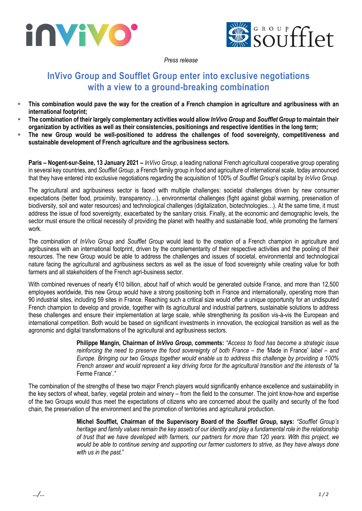



*Press release*

# **InVivo Group and Soufflet Group enter into exclusive negotiations with a view to a ground-breaking combination**

- **This combination would pave the way for the creation of a French champion in agriculture and agribusiness with an international footprint;**
- **The combination of their largely complementary activities would allow** *InVivo Group* **and** *Soufflet Group* **to maintain their organization by activities as well as their consistencies, positionings and respective identities in the long term;**
- **The new Group would be well-positioned to address the challenges of food sovereignty, competitiveness and sustainable development of French agriculture and the agribusiness sectors.**

**Paris – Nogent-sur-Seine, 13 January 2021 –** *InVivo Group*, a leading national French agricultural cooperative group operating in several key countries, and *Soufflet Group*, a French family group in food and agriculture of international scale, today announced that they have entered into exclusive negotiations regarding the acquisition of 100% of *Soufflet Group*'s capital by *InVivo Group*.

The agricultural and agribusiness sector is faced with multiple challenges: societal challenges driven by new consumer expectations (better food, proximity, transparency…), environmental challenges (fight against global warming, preservation of biodiversity, soil and water resources) and technological challenges (digitalization, biotechnologies…). At the same time, it must address the issue of food sovereignty, exacerbated by the sanitary crisis. Finally, at the economic and demographic levels, the sector must ensure the critical necessity of providing the planet with healthy and sustainable food, while promoting the farmers' work.

The combination of *InVivo Group* and *Soufflet Group* would lead to the creation of a French champion in agriculture and agribusiness with an international footprint, driven by the complementarity of their respective activities and the pooling of their resources. The new Group would be able to address the challenges and issues of societal, environmental and technological nature facing the agricultural and agribusiness sectors as well as the issue of food sovereignty while creating value for both farmers and all stakeholders of the French agri-business sector.

With combined revenues of nearly €10 billion, about half of which would be generated outside France, and more than 12,500 employees worldwide, this new Group would have a strong positioning both in France and internationally, operating more than 90 industrial sites, including 59 sites in France. Reaching such a critical size would offer a unique opportunity for an undisputed French champion to develop and provide, together with its agricultural and industrial partners, sustainable solutions to address these challenges and ensure their implementation at large scale, while strengthening its position vis-à-vis the European and international competition. Both would be based on significant investments in innovation, the ecological transition as well as the agronomic and digital transformations of the agricultural and agribusiness sectors.

> **Philippe Mangin, Chairman of** *InVivo Group***, comments:** *"Access to food has become a strategic issue reinforcing the need to preserve the food sovereignty of both France – the '*Made in France' *label – and Europe. Bringing our two Groups together would enable us to address this challenge by providing a 100% French answer and would represent a key driving force for the agricultural transition and the interests of '*la Ferme France'.*"*

The combination of the strengths of these two major French players would significantly enhance excellence and sustainability in the key sectors of wheat, barley, vegetal protein and winery – from the field to the consumer. The joint know-how and expertise of the two Groups would thus meet the expectations of citizens who are concerned about the quality and security of the food chain, the preservation of the environment and the promotion of territories and agricultural production.

> **Michel Soufflet, Chairman of the Supervisory Board of the** *Soufflet Group***, says:** *"Soufflet Group's heritage and family values remain the key assets of our identity and play a fundamental role in the relationship of trust that we have developed with farmers, our partners for more than 120 years. With this project, we would be able to continue serving and supporting our farmer customers to strive, as they have always done with us in the past.*"